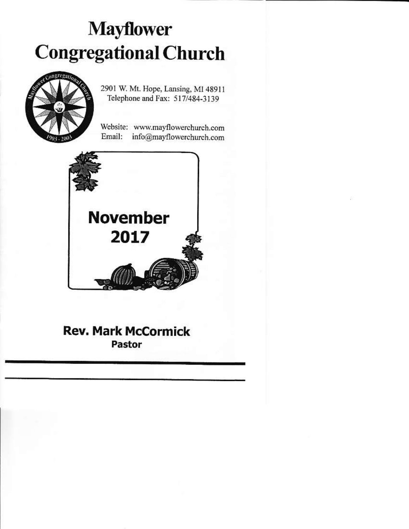# Mayflower Congregational Church



2901 W. Mt. Hope, Lansing, MI 48911 Telephone and Fax:  $517/484-3139$ 

Website: www.mayflowerchurch.com<br>Email: info@mayflowerchurch.com info@mayflowerchurch.com



## Rev. Mark Mccormick Pastor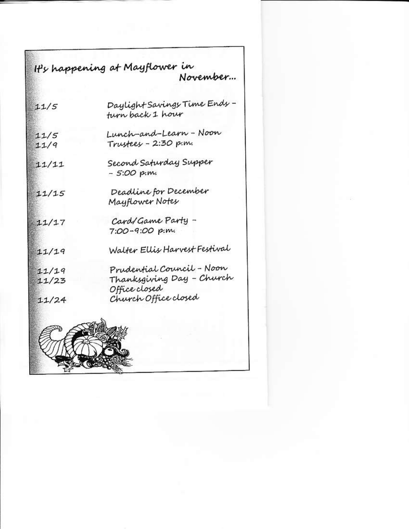## It's happening at Mayflower in November...

 $11/5$ 

 $11/5$  $11/9$ 

 $11/11$ 

 $11/15$ 

 $11/17$ 

 $11/19$ 

 $11/19$  $11/23$ 

 $11/24$ 

Daylight Savings Time Ends turn back 1 hour

Lunch-and-Learn - Noon Trustees - 2:30 p.m.

Second Saturday Supper  $-5:00$  p.m.

Deadline for December Mayflower Notes

Card/Game Party - $7:00 - 9:00$  p.m.

Walter Ellis Harvest Festival

Prudential Council - Noon Thanksgiving Day - Church Office closed Church Office closed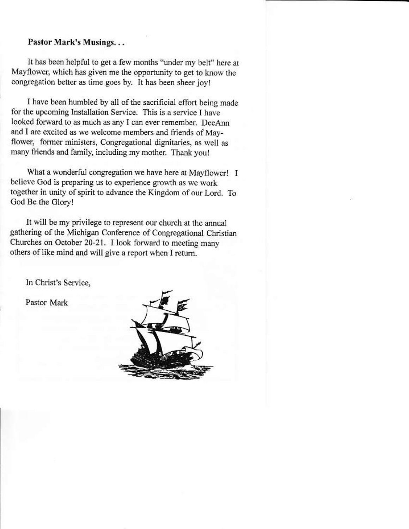## Pastor Mark's Musings...

It has been helpful to get a few months "under my belt" here at Mayflower, which has given me the opportunity to get to know the congregation better as time goes by. It has been sheer joy!

I have been humbled by all of the sacrificial effort being made for the upcoming Installation Service. This is a service I have looked forward to as much as any I can ever remember. DeeAnn and I are excited as we welcome members and friends of Mayflower, former ministers, Congregational dignitaries, as well as many friends and family, including my mother. Thank you!

What a wonderful congregation we have here at Mayflower! I believe God is preparing us to experience growth as we work together in unity of spirit to advance the Kingdom of our Lord. To God Be the Glory!

It will be my privilege to represent our church at the annual gathering of the Michigan Conference of Congregational Christian Churches on October 20-21. I look forward to meeting many others of like mind and will give a report when I return.

In Christ's Service,

Pastor Mark

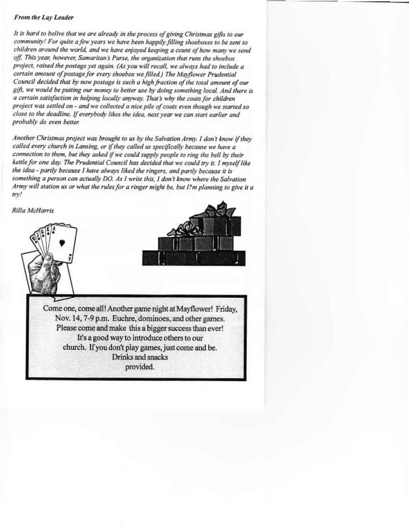#### From the Lay Leader

It is hard to belive that we are already in the process of giving Christmas gifts to our community! For quite a few years we have been happily filling shoeboxes to be sent to children around the world, and we have enjoyed keeping a count of how many we send off. This year, however, Samaritan's Purse, the organization that runs the shoebox project, raised the postage yet again. (As you will recall, we always had to include a certain amount of postage for every shoebox we filled.) The Mayflower Prudential Council decided that by now postage is such a high fraction of the total amount of our gift, we would be putting our money to better use by doing something local. And there is a certain satisfaction in helping locally anyway. That's why the coats for children project was settled on - and we collected a nice pile of coats even though we started so close to the deadline. If everybody likes the idea, next year we can start earlier and probably do even better.

Another Christmas project was brought to us by the Salvation Army. I don't know if they called every church in Lansing, or if they called us specifically because we have a connection to them, but they asked if we could supply people to ring the bell by their kettle for one day. The Prudential Council has decided that we could try it. I myself like the idea - partly because I have always liked the ringers, and partly because it is something a person can actually DO. As I write this, I don't know where the Salvation Army will station us or what the rules for a ringer might be, but I?m planning to give it a try!

Rilla McHarris Come one, come all! Another game night at Mayflower! Friday, Nov. 14, 7-9 p.m. Euchre, dominoes, and other games. Please come and make this a bigger success than ever! It's a good way to introduce others to our church. If you don't play games, just come and be. Drinks and snacks provided.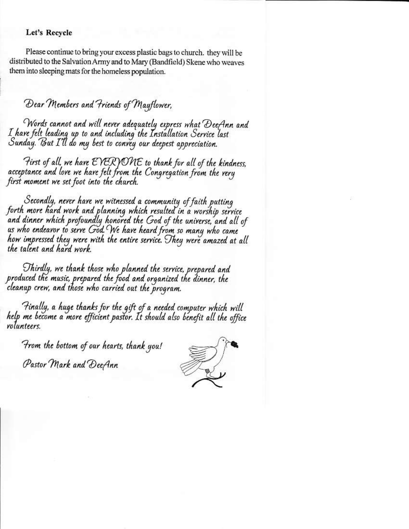### Let's Recycle

Please continue to bring your excess plastic bags to church. they will be distributed to the Salvation Army and to Mary (Bandfield) Skene who weaves them into sleeping mats for the homeless population.

## Dear Members and Friends of Mayflower,

Words cannot and will never adequately express what DeeAnn and<br>I have felt leading up to and including the Installation Service last<br>Sunday. But I'll do my best to convey our deepest appreciation.

First of all, we have EYERYONE to thank for all of the kindness,<br>acceptance and lore we have felt from the Congregation from the very first moment we set foot into the church.

Secondly, never have we witnessed a community of faith putting<br>forth more hard work and planning which resulted in a worship service<br>and dinner which profoundly honored the God of the universe, and all of<br>us who endeavor t the talent and hard work.

Thirdly, we thank those who planned the service, prepared and<br>produced the music, prepared the food and organized the dinner, the<br>cleanup crew, and those who carried out the program.

Finally, a huge thanks for the gift of a needed computer which will<br>help me become a more efficient pastor. It should also benefit all the office rolunteers.

From the bottom of our hearts, thank you!

Pastor Mark and DeeAnn

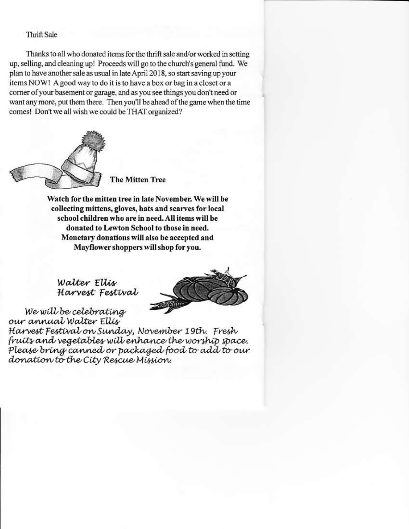#### Thrift Sale

Thanks to all who donated items for the thrift sale and/or worked in setting up, selling, and cleaning up! Proceeds will go to the church's general fund. We plan to have another sale as usual in late April 2018, so start saving up your items NOW! A good way to do it is to have a box or bag in a closet or a corner of your basement or garage, and as you see things you don't need or want any more, put them there. Then you'll be ahead of the game when the time comes! Don't we all wish we could be THAT organized?



**The Mitten Tree** 

Watch for the mitten tree in late November. We will be collecting mittens, gloves, hats and scarves for local school children who are in need. All items will be donated to Lewton School to those in need. Monetary donations will also be accepted and Mavflower shoppers will shop for you.

Walter Flis Harvest Festival



We will be celebrating our annual Walter Ellis Harvest Festival on Sunday, November 19th. Fresh fruits and vegetables will enhance the worship space. Please bring canned or packaged food to add to our donation to the City Rescue Mission.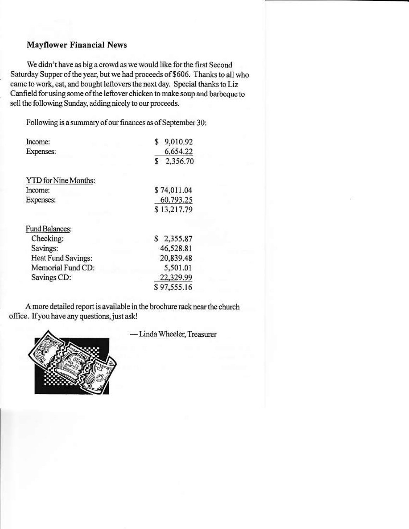## **Mayflower Financial News**

We didn't have as big a crowd as we would like for the first Second Saturday Supper of the year, but we had proceeds of \$606. Thanks to all who came to work, eat, and bought leftovers the next day. Special thanks to Liz Canfield for using some of the leftover chicken to make soup and barbeque to sell the following Sunday, adding nicely to our proceeds.

Following is a summary of our finances as of September 30:

| Income:              | 9,010.92       |
|----------------------|----------------|
| Expenses:            | 6,654.22       |
|                      | 2,356.70<br>\$ |
| YTD for Nine Months: |                |
| Income:              | \$74,011.04    |
| Expenses:            | 60,793.25      |
|                      | \$13,217.79    |
| Fund Balances:       |                |
| Checking:            | \$2,355.87     |
| Savings:             | 46,528.81      |
| Heat Fund Savings:   | 20,839.48      |
| Memorial Fund CD:    | 5,501.01       |
| Savings CD:          | 22,329.99      |
|                      | \$97,555.16    |

A more detailed report is available in the brochure rack near the church office. If you have any questions, just ask!



-Linda Wheeler, Treasurer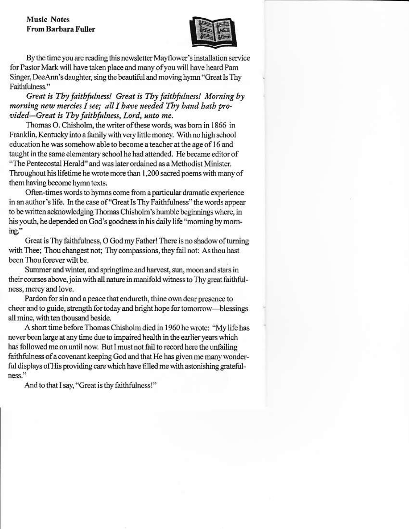## **Music Notes From Barbara Fuller**



By the time you are reading this newsletter Mayflower's installation service for Pastor Mark will have taken place and many of you will have heard Pam Singer, DeeAnn's daughter, sing the beautiful and moving hymn "Great Is Thy Faithfulness."

Great is Thy faithfulness! Great is Thy faithfulness! Morning by morning new mercies I see; all I have needed Thy hand hath provided-Great is Thy faithfulness, Lord, unto me.

Thomas O. Chisholm, the writer of these words, was born in 1866 in Franklin, Kentucky into a family with very little money. With no high school education he was somehow able to become a teacher at the age of 16 and taught in the same elementary school he had attended. He became editor of "The Pentecostal Herald" and was later ordained as a Methodist Minister. Throughout his lifetime he wrote more than 1,200 sacred poems with many of them having become hymn texts.

Often-times words to hymns come from a particular dramatic experience in an author's life. In the case of "Great Is Thy Faithfulness" the words appear to be written acknowledging Thomas Chisholm's humble beginnings where, in his vouth, he depended on God's goodness in his daily life "morning by morning."

Great is Thy faithfulness, O God my Father! There is no shadow of turning with Thee; Thou changest not; Thy compassions, they fail not: As thou hast been Thou forever wilt be.

Summer and winter, and springtime and harvest, sun, moon and stars in their courses above, join with all nature in manifold witness to Thy great faithfulness, mercy and love.

Pardon for sin and a peace that endureth, thine own dear presence to cheer and to guide, strength for today and bright hope for tomorrow-blessings all mine, with ten thousand beside.

A short time before Thomas Chisholm died in 1960 he wrote: "My life has never been large at any time due to impaired health in the earlier years which has followed me on until now. But I must not fail to record here the unfailing faithfulness of a covenant keeping God and that He has given me many wonderful displays of His providing care which have filled me with astonishing gratefulness."

And to that I say, "Great is thy faithfulness!"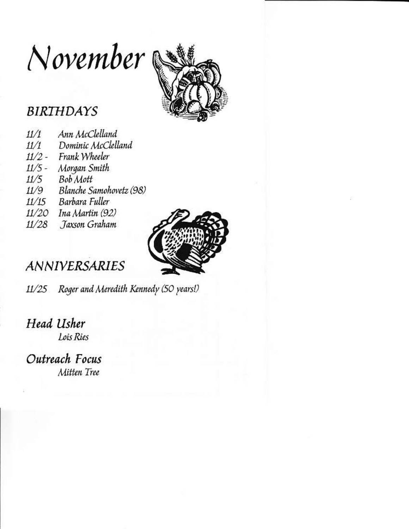November



# **BIRTHDAYS**

- Ann McClelland  $11/1$
- $11/1$ Dominic McClelland
- $11/2 -$ Frank Wheeler
- 11/5 -Morgan Smith
- $11/5$ **Bob Mott**
- Blanche Samohovetz (98)  $11/9$
- 11/15 Barbara Fuller
- 11/20 Ina Martin (92)
- $11/28$ Taxson Graham



# **ANNIVERSARIES**

11/25 Roger and Meredith Kennedy (50 years!)

Head Usher Lois Ries

Outreach Focus Mitten Tree